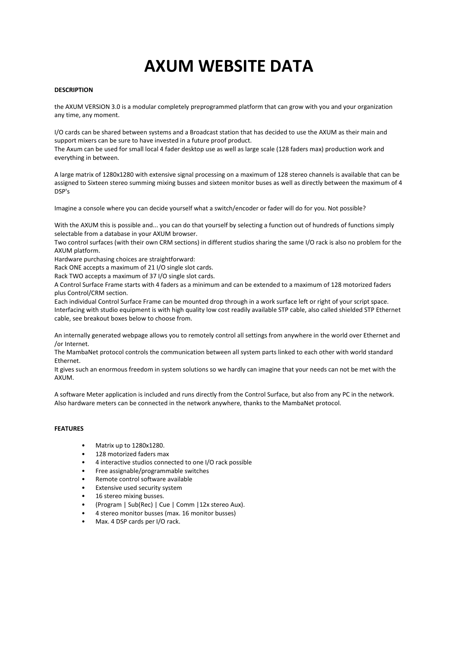# **AXUM WEBSITE DATA**

#### **DESCRIPTION**

the AXUM VERSION 3.0 is a modular completely preprogrammed platform that can grow with you and your organization any time, any moment.

I/O cards can be shared between systems and a Broadcast station that has decided to use the AXUM as their main and support mixers can be sure to have invested in a future proof product. The Axum can be used for small local 4 fader desktop use as well as large scale (128 faders max) production work and everything in between.

A large matrix of 1280x1280 with extensive signal processing on a maximum of 128 stereo channels is available that can be assigned to Sixteen stereo summing mixing busses and sixteen monitor buses as well as directly between the maximum of 4 DSP's

Imagine a console where you can decide yourself what a switch/encoder or fader will do for you. Not possible?

With the AXUM this is possible and... you can do that yourself by selecting a function out of hundreds of functions simply selectable from a database in your AXUM browser.

Two control surfaces (with their own CRM sections) in different studios sharing the same I/O rack is also no problem for the AXUM platform.

Hardware purchasing choices are straightforward:

Rack ONE accepts a maximum of 21 I/O single slot cards.

Rack TWO accepts a maximum of 37 I/O single slot cards.

A Control Surface Frame starts with 4 faders as a minimum and can be extended to a maximum of 128 motorized faders plus Control/CRM section.

Each individual Control Surface Frame can be mounted drop through in a work surface left or right of your script space. Interfacing with studio equipment is with high quality low cost readily available STP cable, also called shielded STP Ethernet cable, see breakout boxes below to choose from.

An internally generated webpage allows you to remotely control all settings from anywhere in the world over Ethernet and /or Internet.

The MambaNet protocol controls the communication between all system parts linked to each other with world standard Ethernet.

It gives such an enormous freedom in system solutions so we hardly can imagine that your needs can not be met with the AXUM.

A software Meter application is included and runs directly from the Control Surface, but also from any PC in the network. Also hardware meters can be connected in the network anywhere, thanks to the MambaNet protocol.

### **FEATURES**

- Matrix up to 1280x1280.
- 128 motorized faders max
- 4 interactive studios connected to one I/O rack possible
- Free assignable/programmable switches
- Remote control software available
- Extensive used security system
- 16 stereo mixing busses.
- (Program | Sub(Rec) | Cue | Comm |12x stereo Aux).
- 4 stereo monitor busses (max. 16 monitor busses)
- Max. 4 DSP cards per I/O rack.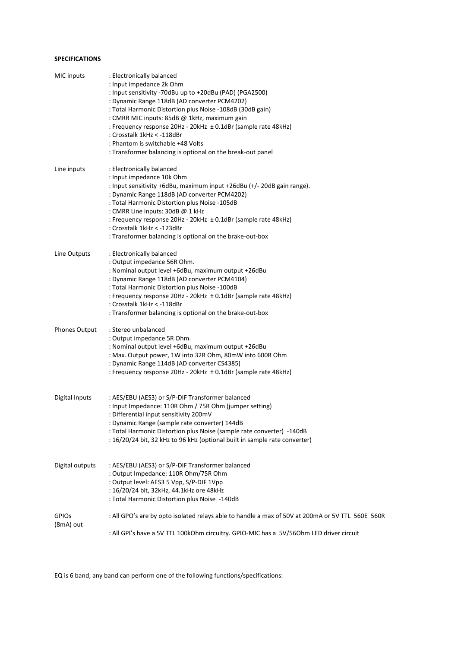# **SPECIFICATIONS**

| MIC inputs                | : Electronically balanced<br>: Input impedance 2k Ohm<br>: Input sensitivity -70dBu up to +20dBu (PAD) (PGA2500)<br>: Dynamic Range 118dB (AD converter PCM4202)<br>: Total Harmonic Distortion plus Noise -108dB (30dB gain)<br>: CMRR MIC inputs: 85dB @ 1kHz, maximum gain<br>: Frequency response 20Hz - 20kHz ± 0.1dBr (sample rate 48kHz)<br>: Crosstalk 1kHz < -118dBr<br>: Phantom is switchable +48 Volts<br>: Transformer balancing is optional on the break-out panel |
|---------------------------|----------------------------------------------------------------------------------------------------------------------------------------------------------------------------------------------------------------------------------------------------------------------------------------------------------------------------------------------------------------------------------------------------------------------------------------------------------------------------------|
| Line inputs               | : Electronically balanced<br>: Input impedance 10k Ohm<br>: Input sensitivity +6dBu, maximum input +26dBu (+/- 20dB gain range).<br>: Dynamic Range 118dB (AD converter PCM4202)<br>: Total Harmonic Distortion plus Noise -105dB<br>: CMRR Line inputs: 30dB @ 1 kHz<br>: Frequency response 20Hz - 20kHz ± 0.1dBr (sample rate 48kHz)<br>: Crosstalk 1kHz < -123dBr<br>: Transformer balancing is optional on the brake-out-box                                                |
| Line Outputs              | : Electronically balanced<br>: Output impedance 56R Ohm.<br>: Nominal output level +6dBu, maximum output +26dBu<br>: Dynamic Range 118dB (AD converter PCM4104)<br>: Total Harmonic Distortion plus Noise -100dB<br>: Frequency response 20Hz - 20kHz ± 0.1dBr (sample rate 48kHz)<br>: Crosstalk 1kHz < -118dBr<br>: Transformer balancing is optional on the brake-out-box                                                                                                     |
| Phones Output             | : Stereo unbalanced<br>: Output impedance 5R Ohm.<br>: Nominal output level +6dBu, maximum output +26dBu<br>: Max. Output power, 1W into 32R Ohm, 80mW into 600R Ohm<br>: Dynamic Range 114dB (AD converter CS4385)<br>: Frequency response 20Hz - 20kHz ± 0.1dBr (sample rate 48kHz)                                                                                                                                                                                            |
| Digital Inputs            | : AES/EBU (AES3) or S/P-DIF Transformer balanced<br>: Input Impedance: 110R Ohm / 75R Ohm (jumper setting)<br>: Differential input sensitivity 200mV<br>: Dynamic Range (sample rate converter) 144dB<br>: Total Harmonic Distortion plus Noise (sample rate converter) -140dB<br>: 16/20/24 bit, 32 kHz to 96 kHz (optional built in sample rate converter)                                                                                                                     |
| Digital outputs           | : AES/EBU (AES3) or S/P-DIF Transformer balanced<br>: Output Impedance: 110R Ohm/75R Ohm<br>: Output level: AES3 5 Vpp, S/P-DIF 1Vpp<br>: 16/20/24 bit, 32kHz, 44.1kHz ore 48kHz<br>: Total Harmonic Distortion plus Noise -140dB                                                                                                                                                                                                                                                |
| <b>GPIOS</b><br>(8mA) out | : All GPO's are by opto isolated relays able to handle a max of 50V at 200mA or 5V TTL 560E 560R<br>: All GPI's have a 5V TTL 100kOhm circuitry. GPIO-MIC has a 5V/56Ohm LED driver circuit                                                                                                                                                                                                                                                                                      |

EQ is 6 band, any band can perform one of the following functions/specifications: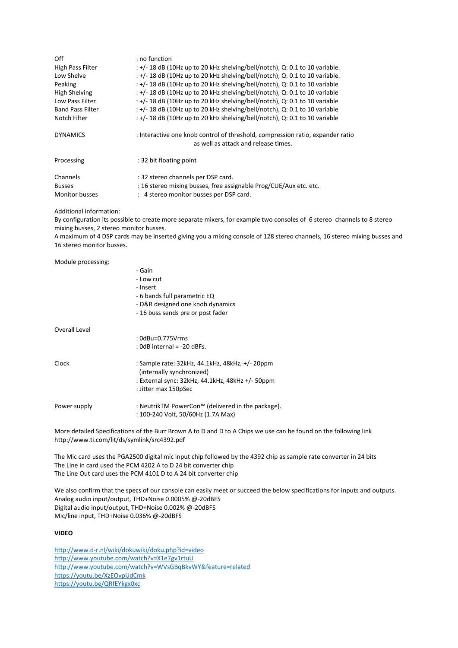| Off<br>High Pass Filter<br>Low Shelve<br>Peaking<br><b>High Shelving</b><br>Low Pass Filter<br><b>Band Pass Filter</b><br>Notch Filter | : no function<br>$: +/- 18$ dB (10Hz up to 20 kHz shelving/bell/notch), Q: 0.1 to 10 variable.<br>$: +/- 18$ dB (10Hz up to 20 kHz shelving/bell/notch), Q: 0.1 to 10 variable.<br>$: +/- 18$ dB (10Hz up to 20 kHz shelving/bell/notch), Q: 0.1 to 10 variable<br>$: +/- 18$ dB (10Hz up to 20 kHz shelving/bell/notch), Q: 0.1 to 10 variable<br>$: +/- 18$ dB (10Hz up to 20 kHz shelving/bell/notch), Q: 0.1 to 10 variable<br>$: +/- 18$ dB (10Hz up to 20 kHz shelving/bell/notch), Q: 0.1 to 10 variable<br>: +/- 18 dB (10Hz up to 20 kHz shelving/bell/notch), Q: 0.1 to 10 variable |
|----------------------------------------------------------------------------------------------------------------------------------------|-----------------------------------------------------------------------------------------------------------------------------------------------------------------------------------------------------------------------------------------------------------------------------------------------------------------------------------------------------------------------------------------------------------------------------------------------------------------------------------------------------------------------------------------------------------------------------------------------|
| <b>DYNAMICS</b>                                                                                                                        | : Interactive one knob control of threshold, compression ratio, expander ratio<br>as well as attack and release times.                                                                                                                                                                                                                                                                                                                                                                                                                                                                        |
| Processing                                                                                                                             | : 32 bit floating point                                                                                                                                                                                                                                                                                                                                                                                                                                                                                                                                                                       |
| Channels<br><b>Busses</b>                                                                                                              | : 32 stereo channels per DSP card.<br>: 16 stereo mixing busses, free assignable Prog/CUE/Aux etc. etc.                                                                                                                                                                                                                                                                                                                                                                                                                                                                                       |
| <b>Monitor busses</b>                                                                                                                  | : 4 stereo monitor busses per DSP card.                                                                                                                                                                                                                                                                                                                                                                                                                                                                                                                                                       |

#### Additional information:

By configuration its possible to create more separate mixers, for example two consoles of 6 stereo channels to 8 stereo mixing busses, 2 stereo monitor busses.

A maximum of 4 DSP cards may be inserted giving you a mixing console of 128 stereo channels, 16 stereo mixing busses and 16 stereo monitor busses.

|               | - Galli<br>- Low cut<br>- Insert<br>- 6 bands full parametric EQ<br>- D&R designed one knob dynamics |
|---------------|------------------------------------------------------------------------------------------------------|
|               | -16 buss sends pre or post fader                                                                     |
| Overall Level |                                                                                                      |
|               | : 0dBu=0.775Vrms                                                                                     |
|               | : $0dB$ internal = -20 dBFs.                                                                         |
| Clock         | : Sample rate: 32kHz, 44.1kHz, 48kHz, +/- 20ppm<br>(internally synchronized)                         |
|               | : External sync: $32kHz$ , $44.1kHz$ , $48kHz$ +/- $50ppm$                                           |
|               | : Jitter max 150pSec                                                                                 |
| Power supply  | : NeutrikTM PowerCon™ (delivered in the package).                                                    |
|               | : 100-240 Volt, 50/60Hz (1.7A Max)                                                                   |

 $C = 1$ 

More detailed Specifications of the Burr Brown A to D and D to A Chips we use can be found on the following link http://www.ti.com/lit/ds/symlink/src4392.pdf

The Mic card uses the PGA2500 digital mic input chip followed by the 4392 chip as sample rate converter in 24 bits The Line in card used the PCM 4202 A to D 24 bit converter chip The Line Out card uses the PCM 4101 D to A 24 bit converter chip

We also confirm that the specs of our console can easily meet or succeed the below specifications for inputs and outputs. Analog audio input/output, THD+Noise 0.0005% @-20dBFS Digital audio input/output, THD+Noise 0.002% @-20dBFS Mic/line input, THD+Noise 0.036% @-20dBFS

#### **VIDEO**

<http://www.d-r.nl/wiki/dokuwiki/doku.php?id=video> <http://www.youtube.com/watch?v=X1e7gv1rtuU> <http://www.youtube.com/watch?v=WVsGBqBkvWY&feature=related> <https://youtu.be/XzEOvpUdCmk> <https://youtu.be/QRfEYkgx0xc>